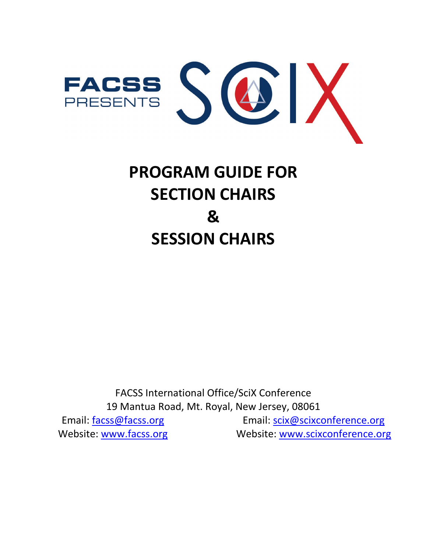

# **PROGRAM GUIDE FOR SECTION CHAIRS & SESSION CHAIRS**

FACSS International Office/SciX Conference 19 Mantua Road, Mt. Royal, New Jersey, 08061 Email: [facss@facss.org](mailto:facss@facss.org) Website: [www.facss.org](http://www.facss.org/) Email: [scix@scixconference.org](mailto:scix@scixconference.org) Website: [www.scixconference.org](http://www.scixconference.org/)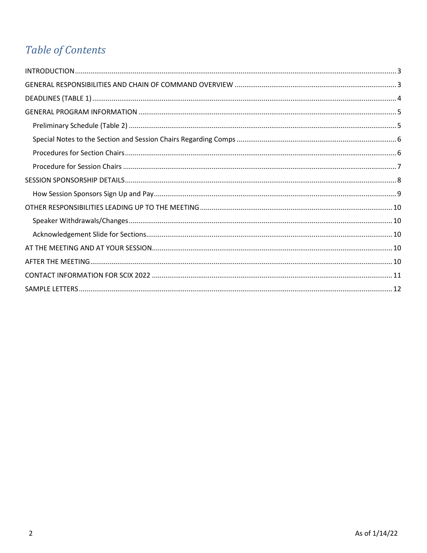## Table of Contents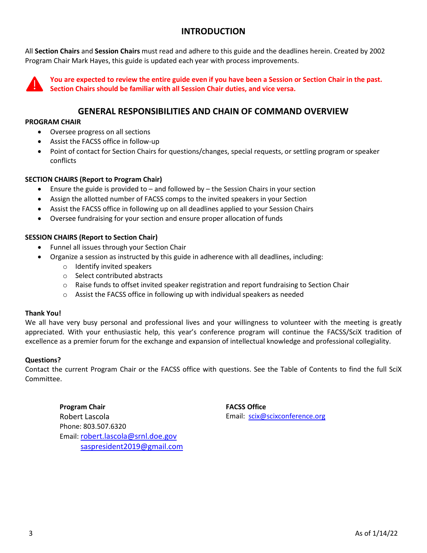### **INTRODUCTION**

<span id="page-2-0"></span>All **Section Chairs** and **Session Chairs** must read and adhere to this guide and the deadlines herein. Created by 2002 Program Chair Mark Hayes, this guide is updated each year with process improvements.



**You are expected to review the entire guide even if you have been a Session or Section Chair in the past. Section Chairs should be familiar with all Session Chair duties, and vice versa.** 

#### **GENERAL RESPONSIBILITIES AND CHAIN OF COMMAND OVERVIEW**

#### <span id="page-2-1"></span>**PROGRAM CHAIR**

- Oversee progress on all sections
- Assist the FACSS office in follow-up
- Point of contact for Section Chairs for questions/changes, special requests, or settling program or speaker conflicts

#### **SECTION CHAIRS (Report to Program Chair)**

- Ensure the guide is provided to and followed by the Session Chairs in your section
- Assign the allotted number of FACSS comps to the invited speakers in your Section
- Assist the FACSS office in following up on all deadlines applied to your Session Chairs
- Oversee fundraising for your section and ensure proper allocation of funds

#### **SESSION CHAIRS (Report to Section Chair)**

- Funnel all issues through your Section Chair
- Organize a session as instructed by this guide in adherence with all deadlines, including:
	- o Identify invited speakers
	- o Select contributed abstracts
	- $\circ$  Raise funds to offset invited speaker registration and report fundraising to Section Chair
	- $\circ$  Assist the FACSS office in following up with individual speakers as needed

#### **Thank You!**

We all have very busy personal and professional lives and your willingness to volunteer with the meeting is greatly appreciated. With your enthusiastic help, this year's conference program will continue the FACSS/SciX tradition of excellence as a premier forum for the exchange and expansion of intellectual knowledge and professional collegiality.

#### **Questions?**

Contact the current Program Chair or the FACSS office with questions. See the Table of Contents to find the full SciX Committee.

<span id="page-2-2"></span>**Program Chair** Robert Lascola Phone: 803.507.6320 Email: [robert.lascola@srnl.doe.gov](mailto:robert.lascola@srnl.doe.gov) saspresident2019@gmail.com **FACSS Office** Email: [scix@scixconference.org](mailto:scix@scixconference.org)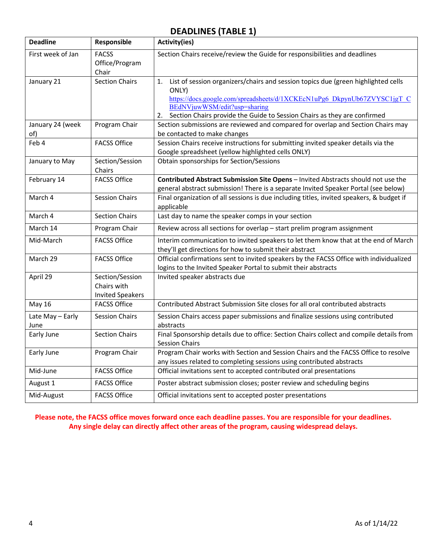### **DEADLINES (TABLE 1)**

<span id="page-3-0"></span>

| <b>Deadline</b>          | Responsible                                               | <b>Activity(ies)</b>                                                                                                                                                                                                                                                                           |
|--------------------------|-----------------------------------------------------------|------------------------------------------------------------------------------------------------------------------------------------------------------------------------------------------------------------------------------------------------------------------------------------------------|
| First week of Jan        | <b>FACSS</b><br>Office/Program<br>Chair                   | Section Chairs receive/review the Guide for responsibilities and deadlines                                                                                                                                                                                                                     |
| January 21               | <b>Section Chairs</b>                                     | List of session organizers/chairs and session topics due (green highlighted cells<br>1.<br>ONLY)<br>https://docs.google.com/spreadsheets/d/1XCKEcN1uPg6_DkpynUb67ZVYSC1jgT_C<br>BEdNVjuwWSM/edit?usp=sharing<br>Section Chairs provide the Guide to Session Chairs as they are confirmed<br>2. |
| January 24 (week<br>of)  | Program Chair                                             | Section submissions are reviewed and compared for overlap and Section Chairs may<br>be contacted to make changes                                                                                                                                                                               |
| Feb 4                    | <b>FACSS Office</b>                                       | Session Chairs receive instructions for submitting invited speaker details via the<br>Google spreadsheet (yellow highlighted cells ONLY)                                                                                                                                                       |
| January to May           | Section/Session<br>Chairs                                 | Obtain sponsorships for Section/Sessions                                                                                                                                                                                                                                                       |
| February 14              | <b>FACSS Office</b>                                       | Contributed Abstract Submission Site Opens - Invited Abstracts should not use the<br>general abstract submission! There is a separate Invited Speaker Portal (see below)                                                                                                                       |
| March 4                  | <b>Session Chairs</b>                                     | Final organization of all sessions is due including titles, invited speakers, & budget if<br>applicable                                                                                                                                                                                        |
| March 4                  | <b>Section Chairs</b>                                     | Last day to name the speaker comps in your section                                                                                                                                                                                                                                             |
| March 14                 | Program Chair                                             | Review across all sections for overlap - start prelim program assignment                                                                                                                                                                                                                       |
| Mid-March                | <b>FACSS Office</b>                                       | Interim communication to invited speakers to let them know that at the end of March<br>they'll get directions for how to submit their abstract                                                                                                                                                 |
| March 29                 | <b>FACSS Office</b>                                       | Official confirmations sent to invited speakers by the FACSS Office with individualized<br>logins to the Invited Speaker Portal to submit their abstracts                                                                                                                                      |
| April 29                 | Section/Session<br>Chairs with<br><b>Invited Speakers</b> | Invited speaker abstracts due                                                                                                                                                                                                                                                                  |
| May 16                   | <b>FACSS Office</b>                                       | Contributed Abstract Submission Site closes for all oral contributed abstracts                                                                                                                                                                                                                 |
| Late May - Early<br>June | <b>Session Chairs</b>                                     | Session Chairs access paper submissions and finalize sessions using contributed<br>abstracts                                                                                                                                                                                                   |
| Early June               | <b>Section Chairs</b>                                     | Final Sponsorship details due to office: Section Chairs collect and compile details from<br><b>Session Chairs</b>                                                                                                                                                                              |
| Early June               | Program Chair                                             | Program Chair works with Section and Session Chairs and the FACSS Office to resolve<br>any issues related to completing sessions using contributed abstracts                                                                                                                                   |
| Mid-June                 | <b>FACSS Office</b>                                       | Official invitations sent to accepted contributed oral presentations                                                                                                                                                                                                                           |
| August 1                 | <b>FACSS Office</b>                                       | Poster abstract submission closes; poster review and scheduling begins                                                                                                                                                                                                                         |
| Mid-August               | <b>FACSS Office</b>                                       | Official invitations sent to accepted poster presentations                                                                                                                                                                                                                                     |

**Please note, the FACSS office moves forward once each deadline passes. You are responsible for your deadlines. Any single delay can directly affect other areas of the program, causing widespread delays.**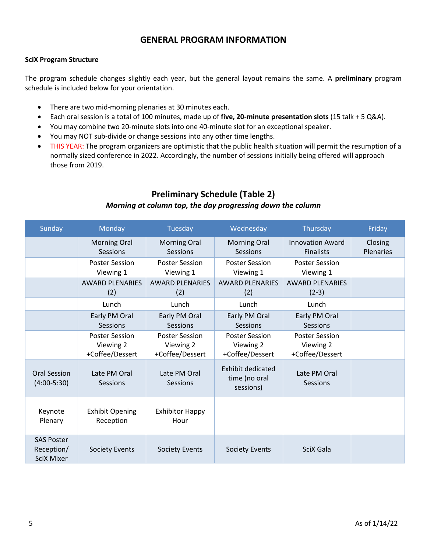#### **GENERAL PROGRAM INFORMATION**

#### <span id="page-4-0"></span>**SciX Program Structure**

The program schedule changes slightly each year, but the general layout remains the same. A **preliminary** program schedule is included below for your orientation.

- There are two mid-morning plenaries at 30 minutes each.
- Each oral session is a total of 100 minutes, made up of **five, 20-minute presentation slots** (15 talk + 5 Q&A).
- You may combine two 20-minute slots into one 40-minute slot for an exceptional speaker.
- You may NOT sub-divide or change sessions into any other time lengths.
- THIS YEAR: The program organizers are optimistic that the public health situation will permit the resumption of a normally sized conference in 2022. Accordingly, the number of sessions initially being offered will approach those from 2019.

### **Preliminary Schedule (Table 2)** *Morning at column top, the day progressing down the column*

<span id="page-4-1"></span>

| Sunday                                               | Monday                                                | Tuesday                                               | Wednesday                                              | Thursday                                              | Friday                      |
|------------------------------------------------------|-------------------------------------------------------|-------------------------------------------------------|--------------------------------------------------------|-------------------------------------------------------|-----------------------------|
|                                                      | <b>Morning Oral</b><br>Sessions                       | <b>Morning Oral</b><br>Sessions                       | <b>Morning Oral</b><br>Sessions                        | <b>Innovation Award</b><br><b>Finalists</b>           | Closing<br><b>Plenaries</b> |
|                                                      | <b>Poster Session</b><br>Viewing 1                    | <b>Poster Session</b><br>Viewing 1                    | <b>Poster Session</b><br>Viewing 1                     | <b>Poster Session</b><br>Viewing 1                    |                             |
|                                                      | <b>AWARD PLENARIES</b><br>(2)                         | <b>AWARD PLENARIES</b><br>(2)                         | <b>AWARD PLENARIES</b><br>(2)                          | <b>AWARD PLENARIES</b><br>$(2-3)$                     |                             |
|                                                      | Lunch                                                 | Lunch                                                 | Lunch                                                  | Lunch                                                 |                             |
|                                                      | Early PM Oral<br>Sessions                             | Early PM Oral<br>Sessions                             | Early PM Oral<br>Sessions                              | Early PM Oral<br>Sessions                             |                             |
|                                                      | <b>Poster Session</b><br>Viewing 2<br>+Coffee/Dessert | <b>Poster Session</b><br>Viewing 2<br>+Coffee/Dessert | <b>Poster Session</b><br>Viewing 2<br>+Coffee/Dessert  | <b>Poster Session</b><br>Viewing 2<br>+Coffee/Dessert |                             |
| Oral Session<br>$(4:00-5:30)$                        | Late PM Oral<br>Sessions                              | Late PM Oral<br>Sessions                              | <b>Exhibit dedicated</b><br>time (no oral<br>sessions) | Late PM Oral<br>Sessions                              |                             |
| Keynote<br>Plenary                                   | <b>Exhibit Opening</b><br>Reception                   | <b>Exhibitor Happy</b><br>Hour                        |                                                        |                                                       |                             |
| <b>SAS Poster</b><br>Reception/<br><b>SciX Mixer</b> | <b>Society Events</b>                                 | <b>Society Events</b>                                 | <b>Society Events</b>                                  | SciX Gala                                             |                             |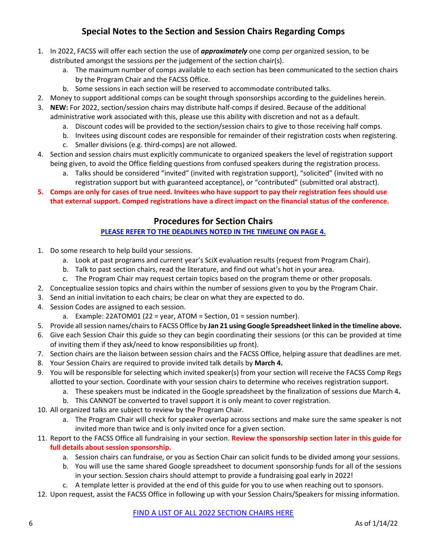### **Special Notes to the Section and Session Chairs Regarding Comps**

- <span id="page-5-0"></span>1. In 2022, FACSS will offer each section the use of *approximately* one comp per organized session, to be distributed amongst the sessions per the judgement of the section chair(s).
	- a. The maximum number of comps available to each section has been communicated to the section chairs by the Program Chair and the FACSS Office.
	- b. Some sessions in each section will be reserved to accommodate contributed talks.
- 2. Money to support additional comps can be sought through sponsorships according to the guidelines herein.
- 3. **NEW:** For 2022, section/session chairs may distribute half-comps if desired. Because of the additional administrative work associated with this, please use this ability with discretion and not as a default.
	- a. Discount codes will be provided to the section/session chairs to give to those receiving half comps.
	- b. Invitees using discount codes are responsible for remainder of their registration costs when registering.
	- c. Smaller divisions (e.g. third-comps) are not allowed.
- 4. Section and session chairs must explicitly communicate to organized speakers the level of registration support being given, to avoid the Office fielding questions from confused speakers during the registration process.
	- a. Talks should be considered "invited" (invited with registration support), "solicited" (invited with no registration support but with guaranteed acceptance), or "contributed" (submitted oral abstract).
- <span id="page-5-1"></span>**5. Comps are only for cases of true need. Invitees who have support to pay their registration fees should use that external support. Comped registrations have a direct impact on the financial status of the conference.**

### **Procedures for Section Chairs**

#### **[PLEASE REFER TO THE DEADLINES NOTED IN THE TIMELINE ON PAGE 4.](#page-2-2)**

- 1. Do some research to help build your sessions.
	- a. Look at past programs and current year's SciX evaluation results (request from Program Chair).
	- b. Talk to past section chairs, read the literature, and find out what's hot in your area.
	- c. The Program Chair may request certain topics based on the program theme or other proposals.
- 2. Conceptualize session topics and chairs within the number of sessions given to you by the Program Chair.
- 3. Send an initial invitation to each chairs; be clear on what they are expected to do.
- 4. Session Codes are assigned to each session.
	- a. Example:  $22$ ATOM01 (22 = year, ATOM = Section, 01 = session number).
- 5. Provide all session names/chairs to FACSS Office by **Jan 21 using Google Spreadsheet linked in the timeline above.**
- 6. Give each Session Chair this guide so they can begin coordinating their sessions (or this can be provided at time of inviting them if they ask/need to know responsibilities up front).
- 7. Section chairs are the liaison between session chairs and the FACSS Office, helping assure that deadlines are met.
- 8. Your Session Chairs are required to provide invited talk details by **March 4.**
- 9. You will be responsible for selecting which invited speaker(s) from your section will receive the FACSS Comp Regs allotted to your section. Coordinate with your session chairs to determine who receives registration support.
	- a. These speakers must be indicated in the Google spreadsheet by the finalization of sessions due March 4**.**
	- b. This CANNOT be converted to travel support it is only meant to cover registration.
- 10. All organized talks are subject to review by the Program Chair.
	- a. The Program Chair will check for speaker overlap across sections and make sure the same speaker is not invited more than twice and is only invited once for a given section.
- 11. Report to the FACSS Office all fundraising in your section. **Review the sponsorship section later in this guide for full details about session sponsorship.**
	- a. Session chairs can fundraise, or you as Section Chair can solicit funds to be divided among your sessions.
	- b. You will use the same shared Google spreadsheet to document sponsorship funds for all of the sessions in your section. Session chairs should attempt to provide a fundraising goal early in 2022!
	- c. A template letter is provided at the end of this guide for you to use when reaching out to sponsors.
- 12. Upon request, assist the FACSS Office in following up with your Session Chairs/Speakers for missing information.

#### [FIND A LIST OF ALL 2022](https://www.scixconference.org/scix-program-section-chairs/) SECTION CHAIRS HERE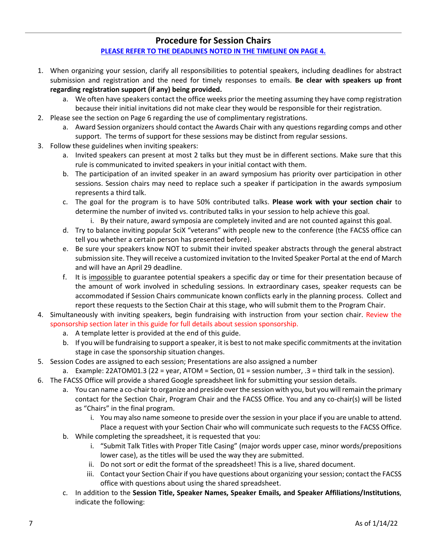#### **Procedure for Session Chairs**

#### **[PLEASE REFER TO THE DEADLINES NOTED IN THE TIMELINE ON PAGE 4.](#page-2-2)**

- <span id="page-6-0"></span>1. When organizing your session, clarify all responsibilities to potential speakers, including deadlines for abstract submission and registration and the need for timely responses to emails. **Be clear with speakers up front regarding registration support (if any) being provided.**
	- a. We often have speakers contact the office weeks prior the meeting assuming they have comp registration because their initial invitations did not make clear they would be responsible for their registration.
- 2. Please see the section on Page 6 regarding the use of complimentary registrations.
	- a. Award Session organizers should contact the Awards Chair with any questions regarding comps and other support. The terms of support for these sessions may be distinct from regular sessions.
- 3. Follow these guidelines when inviting speakers:
	- a. Invited speakers can present at most 2 talks but they must be in different sections. Make sure that this rule is communicated to invited speakers in your initial contact with them.
	- b. The participation of an invited speaker in an award symposium has priority over participation in other sessions. Session chairs may need to replace such a speaker if participation in the awards symposium represents a third talk.
	- c. The goal for the program is to have 50% contributed talks. **Please work with your section chair** to determine the number of invited vs. contributed talks in your session to help achieve this goal.
		- i. By their nature, award symposia are completely invited and are not counted against this goal.
	- d. Try to balance inviting popular SciX "veterans" with people new to the conference (the FACSS office can tell you whether a certain person has presented before).
	- e. Be sure your speakers know NOT to submit their invited speaker abstracts through the general abstract submission site. They will receive a customized invitation to the Invited Speaker Portal at the end of March and will have an April 29 deadline.
	- f. It is impossible to guarantee potential speakers a specific day or time for their presentation because of the amount of work involved in scheduling sessions. In extraordinary cases, speaker requests can be accommodated if Session Chairs communicate known conflicts early in the planning process. Collect and report these requests to the Section Chair at this stage, who will submit them to the Program Chair.
- 4. Simultaneously with inviting speakers, begin fundraising with instruction from your section chair. Review the sponsorship section later in this guide for full details about session sponsorship.
	- a. A template letter is provided at the end of this guide.
	- b. If you will be fundraising to support a speaker, it is best to not make specific commitments at the invitation stage in case the sponsorship situation changes.
- 5. Session Codes are assigned to each session; Presentations are also assigned a number
	- a. Example: 22ATOM01.3 (22 = year, ATOM = Section, 01 = session number, .3 = third talk in the session).
- 6. The FACSS Office will provide a shared Google spreadsheet link for submitting your session details.
	- a. You can name a co-chair to organize and preside over the session with you, but you will remain the primary contact for the Section Chair, Program Chair and the FACSS Office. You and any co-chair(s) will be listed as "Chairs" in the final program.
		- i. You may also name someone to preside over the session in your place if you are unable to attend. Place a request with your Section Chair who will communicate such requests to the FACSS Office.
	- b. While completing the spreadsheet, it is requested that you:
		- i. "Submit Talk Titles with Proper Title Casing" (major words upper case, minor words/prepositions lower case), as the titles will be used the way they are submitted.
		- ii. Do not sort or edit the format of the spreadsheet! This is a live, shared document.
		- iii. Contact your Section Chair if you have questions about organizing your session; contact the FACSS office with questions about using the shared spreadsheet.
	- c. In addition to the **Session Title, Speaker Names, Speaker Emails, and Speaker Affiliations/Institutions**, indicate the following: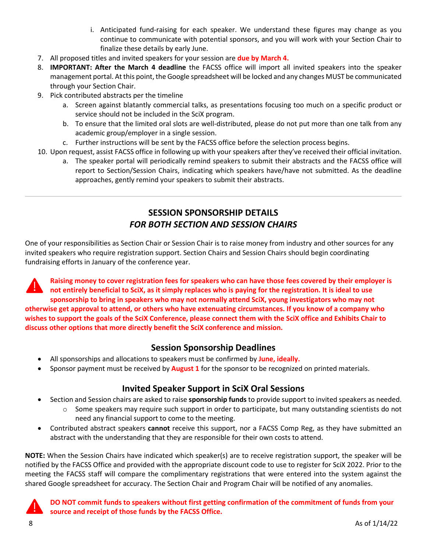- i. Anticipated fund-raising for each speaker. We understand these figures may change as you continue to communicate with potential sponsors, and you will work with your Section Chair to finalize these details by early June.
- 7. All proposed titles and invited speakers for your session are **due by March 4.**
- 8. **IMPORTANT: After the March 4 deadline** the FACSS office will import all invited speakers into the speaker management portal. At this point, the Google spreadsheet will be locked and any changes MUST be communicated through your Section Chair.
- 9. Pick contributed abstracts per the timeline
	- a. Screen against blatantly commercial talks, as presentations focusing too much on a specific product or service should not be included in the SciX program.
	- b. To ensure that the limited oral slots are well-distributed, please do not put more than one talk from any academic group/employer in a single session.
	- c. Further instructions will be sent by the FACSS office before the selection process begins.
- 10. Upon request, assist FACSS office in following up with your speakers after they've received their official invitation.
	- a. The speaker portal will periodically remind speakers to submit their abstracts and the FACSS office will report to Section/Session Chairs, indicating which speakers have/have not submitted. As the deadline approaches, gently remind your speakers to submit their abstracts.

### **SESSION SPONSORSHIP DETAILS** *FOR BOTH SECTION AND SESSION CHAIRS*

<span id="page-7-0"></span>One of your responsibilities as Section Chair or Session Chair is to raise money from industry and other sources for any invited speakers who require registration support. Section Chairs and Session Chairs should begin coordinating fundraising efforts in January of the conference year.

**Raising money to cover registration fees for speakers who can have those fees covered by their employer is not entirely beneficial to SciX, as it simply replaces who is paying for the registration. It is ideal to use sponsorship to bring in speakers who may not normally attend SciX, young investigators who may not otherwise get approval to attend, or others who have extenuating circumstances. If you know of a company who wishes to support the goals of the SciX Conference, please connect them with the SciX office and Exhibits Chair to discuss other options that more directly benefit the SciX conference and mission.**

#### **Session Sponsorship Deadlines**

- All sponsorships and allocations to speakers must be confirmed by **June, ideally.**
- Sponsor payment must be received by **August 1** for the sponsor to be recognized on printed materials.

### **Invited Speaker Support in SciX Oral Sessions**

- Section and Session chairs are asked to raise **sponsorship funds** to provide support to invited speakers as needed.
	- $\circ$  Some speakers may require such support in order to participate, but many outstanding scientists do not need any financial support to come to the meeting.
- Contributed abstract speakers **cannot** receive this support, nor a FACSS Comp Reg, as they have submitted an abstract with the understanding that they are responsible for their own costs to attend.

**NOTE:** When the Session Chairs have indicated which speaker(s) are to receive registration support, the speaker will be notified by the FACSS Office and provided with the appropriate discount code to use to register for SciX 2022. Prior to the meeting the FACSS staff will compare the complimentary registrations that were entered into the system against the shared Google spreadsheet for accuracy. The Section Chair and Program Chair will be notified of any anomalies.

**DO NOT commit funds to speakers without first getting confirmation of the commitment of funds from your source and receipt of those funds by the FACSS Office.**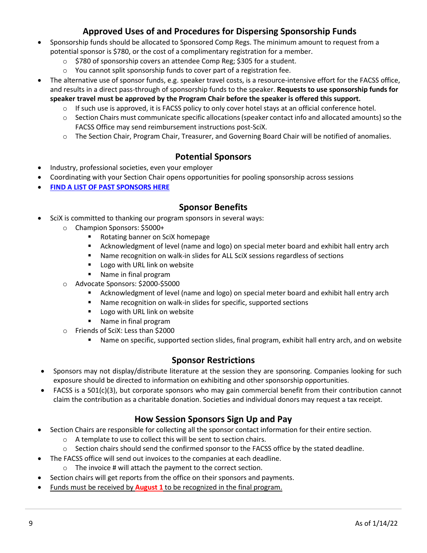### **Approved Uses of and Procedures for Dispersing Sponsorship Funds**

- Sponsorship funds should be allocated to Sponsored Comp Regs. The minimum amount to request from a potential sponsor is \$780, or the cost of a complimentary registration for a member.
	- o \$780 of sponsorship covers an attendee Comp Reg; \$305 for a student.
	- o You cannot split sponsorship funds to cover part of a registration fee.
- The alternative use of sponsor funds, e.g. speaker travel costs, is a resource-intensive effort for the FACSS office, and results in a direct pass-through of sponsorship funds to the speaker. **Requests to use sponsorship funds for speaker travel must be approved by the Program Chair before the speaker is offered this support.**
	- $\circ$  If such use is approved, it is FACSS policy to only cover hotel stays at an official conference hotel.
	- o Section Chairs must communicate specific allocations (speaker contact info and allocated amounts) so the FACSS Office may send reimbursement instructions post-SciX.
	- o The Section Chair, Program Chair, Treasurer, and Governing Board Chair will be notified of anomalies.

### **Potential Sponsors**

- Industry, professional societies, even your employer
- Coordinating with your Section Chair opens opportunities for pooling sponsorship across sessions
- **[FIND A LIST OF PAST SPONSORS HERE](https://scixconference.org/resources/2022%20SciX%20MASTER/Sponsors/ALLPASTEXHIBITORSANDSPONSORS2022.pdf)**

#### **Sponsor Benefits**

- SciX is committed to thanking our program sponsors in several ways:
	- o Champion Sponsors: \$5000+
		- Rotating banner on SciX homepage
		- Acknowledgment of level (name and logo) on special meter board and exhibit hall entry arch
		- Name recognition on walk-in slides for ALL SciX sessions regardless of sections
		- **Logo with URL link on website**
		- Name in final program
	- o Advocate Sponsors: \$2000-\$5000
		- Acknowledgment of level (name and logo) on special meter board and exhibit hall entry arch
		- Name recognition on walk-in slides for specific, supported sections
		- **Logo with URL link on website**
		- **Name in final program**
	- o Friends of SciX: Less than \$2000
		- Name on specific, supported section slides, final program, exhibit hall entry arch, and on website

#### **Sponsor Restrictions**

- Sponsors may not display/distribute literature at the session they are sponsoring. Companies looking for such exposure should be directed to information on exhibiting and other sponsorship opportunities.
- FACSS is a 501(c)(3), but corporate sponsors who may gain commercial benefit from their contribution cannot claim the contribution as a charitable donation. Societies and individual donors may request a tax receipt.

### **How Session Sponsors Sign Up and Pay**

- <span id="page-8-0"></span>• Section Chairs are responsible for collecting all the sponsor contact information for their entire section.
	- o A template to use to collect this will be sent to section chairs.
	- o Section chairs should send the confirmed sponsor to the FACSS office by the stated deadline.
	- The FACSS office will send out invoices to the companies at each deadline.
		- o The invoice # will attach the payment to the correct section.
- Section chairs will get reports from the office on their sponsors and payments.
- Funds must be received by **August 1** to be recognized in the final program.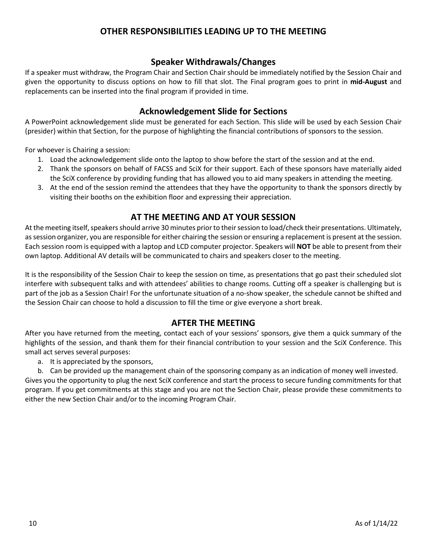### **OTHER RESPONSIBILITIES LEADING UP TO THE MEETING**

### **Speaker Withdrawals/Changes**

<span id="page-9-1"></span><span id="page-9-0"></span>If a speaker must withdraw, the Program Chair and Section Chair should be immediately notified by the Session Chair and given the opportunity to discuss options on how to fill that slot. The Final program goes to print in **mid-August** and replacements can be inserted into the final program if provided in time.

### **Acknowledgement Slide for Sections**

<span id="page-9-2"></span>A PowerPoint acknowledgement slide must be generated for each Section. This slide will be used by each Session Chair (presider) within that Section, for the purpose of highlighting the financial contributions of sponsors to the session.

For whoever is Chairing a session:

- 1. Load the acknowledgement slide onto the laptop to show before the start of the session and at the end.
- 2. Thank the sponsors on behalf of FACSS and SciX for their support. Each of these sponsors have materially aided the SciX conference by providing funding that has allowed you to aid many speakers in attending the meeting.
- 3. At the end of the session remind the attendees that they have the opportunity to thank the sponsors directly by visiting their booths on the exhibition floor and expressing their appreciation.

### **AT THE MEETING AND AT YOUR SESSION**

<span id="page-9-3"></span>At the meeting itself, speakers should arrive 30 minutes prior to their session to load/check their presentations. Ultimately, as session organizer, you are responsible for either chairing the session or ensuring a replacement is present at the session. Each session room is equipped with a laptop and LCD computer projector. Speakers will **NOT** be able to present from their own laptop. Additional AV details will be communicated to chairs and speakers closer to the meeting.

It is the responsibility of the Session Chair to keep the session on time, as presentations that go past their scheduled slot interfere with subsequent talks and with attendees' abilities to change rooms. Cutting off a speaker is challenging but is part of the job as a Session Chair! For the unfortunate situation of a no-show speaker, the schedule cannot be shifted and the Session Chair can choose to hold a discussion to fill the time or give everyone a short break.

### **AFTER THE MEETING**

<span id="page-9-4"></span>After you have returned from the meeting, contact each of your sessions' sponsors, give them a quick summary of the highlights of the session, and thank them for their financial contribution to your session and the SciX Conference. This small act serves several purposes:

a. It is appreciated by the sponsors,

b. Can be provided up the management chain of the sponsoring company as an indication of money well invested. Gives you the opportunity to plug the next SciX conference and start the process to secure funding commitments for that program. If you get commitments at this stage and you are not the Section Chair, please provide these commitments to either the new Section Chair and/or to the incoming Program Chair.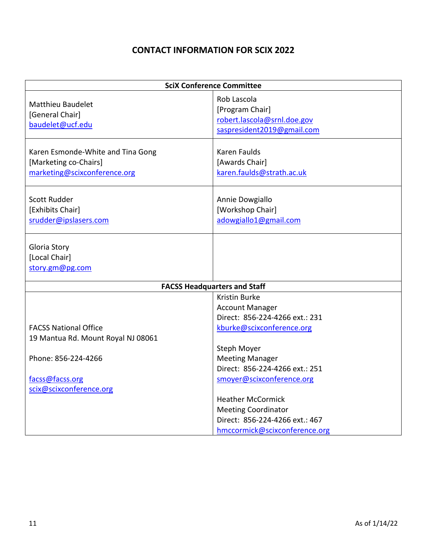### **CONTACT INFORMATION FOR SCIX 2022**

<span id="page-10-0"></span>

| <b>SciX Conference Committee</b>                                                           |                                                                                                                              |  |  |  |  |
|--------------------------------------------------------------------------------------------|------------------------------------------------------------------------------------------------------------------------------|--|--|--|--|
| <b>Matthieu Baudelet</b><br>[General Chair]<br>baudelet@ucf.edu                            | Rob Lascola<br>[Program Chair]<br>robert.lascola@srnl.doe.gov<br>saspresident2019@gmail.com                                  |  |  |  |  |
| Karen Esmonde-White and Tina Gong<br>[Marketing co-Chairs]<br>marketing@scixconference.org | <b>Karen Faulds</b><br>[Awards Chair]<br>karen.faulds@strath.ac.uk                                                           |  |  |  |  |
| Scott Rudder<br>[Exhibits Chair]<br>srudder@ipslasers.com                                  | Annie Dowgiallo<br>[Workshop Chair]<br>adowgiallo1@gmail.com                                                                 |  |  |  |  |
| Gloria Story<br>[Local Chair]<br>story.gm@pg.com                                           |                                                                                                                              |  |  |  |  |
| <b>FACSS Headquarters and Staff</b>                                                        |                                                                                                                              |  |  |  |  |
| <b>FACSS National Office</b><br>19 Mantua Rd. Mount Royal NJ 08061                         | <b>Kristin Burke</b><br><b>Account Manager</b><br>Direct: 856-224-4266 ext.: 231<br>kburke@scixconference.org<br>Steph Moyer |  |  |  |  |
| Phone: 856-224-4266<br>facss@facss.org<br>scix@scixconference.org                          | <b>Meeting Manager</b><br>Direct: 856-224-4266 ext.: 251<br>smoyer@scixconference.org                                        |  |  |  |  |
|                                                                                            | <b>Heather McCormick</b><br><b>Meeting Coordinator</b><br>Direct: 856-224-4266 ext.: 467<br>hmccormick@scixconference.org    |  |  |  |  |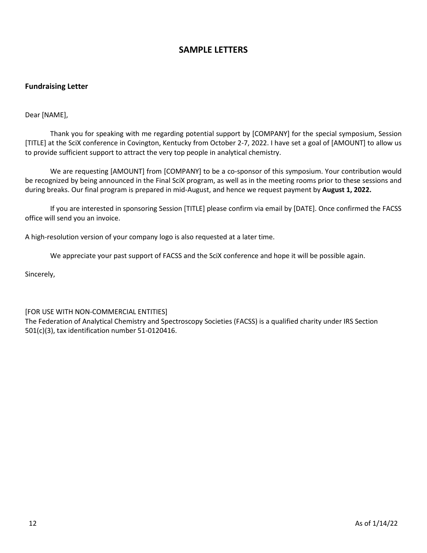### **SAMPLE LETTERS**

#### <span id="page-11-0"></span>**Fundraising Letter**

Dear [NAME],

Thank you for speaking with me regarding potential support by [COMPANY] for the special symposium, Session [TITLE] at the SciX conference in Covington, Kentucky from October 2-7, 2022. I have set a goal of [AMOUNT] to allow us to provide sufficient support to attract the very top people in analytical chemistry.

We are requesting [AMOUNT] from [COMPANY] to be a co-sponsor of this symposium. Your contribution would be recognized by being announced in the Final SciX program, as well as in the meeting rooms prior to these sessions and during breaks. Our final program is prepared in mid-August, and hence we request payment by **August 1, 2022.**

If you are interested in sponsoring Session [TITLE] please confirm via email by [DATE]. Once confirmed the FACSS office will send you an invoice.

A high-resolution version of your company logo is also requested at a later time.

We appreciate your past support of FACSS and the SciX conference and hope it will be possible again.

Sincerely,

#### [FOR USE WITH NON-COMMERCIAL ENTITIES]

The Federation of Analytical Chemistry and Spectroscopy Societies (FACSS) is a qualified charity under IRS Section 501(c)(3), tax identification number 51-0120416.